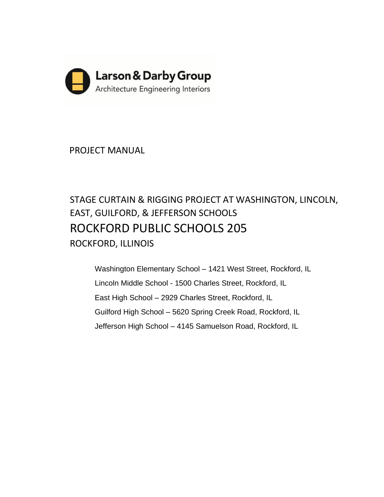

PROJECT MANUAL

# STAGE CURTAIN & RIGGING PROJECT AT WASHINGTON, LINCOLN, EAST, GUILFORD, & JEFFERSON SCHOOLS ROCKFORD PUBLIC SCHOOLS 205 ROCKFORD, ILLINOIS

Washington Elementary School – 1421 West Street, Rockford, IL Lincoln Middle School - 1500 Charles Street, Rockford, IL East High School – 2929 Charles Street, Rockford, IL Guilford High School – 5620 Spring Creek Road, Rockford, IL Jefferson High School – 4145 Samuelson Road, Rockford, IL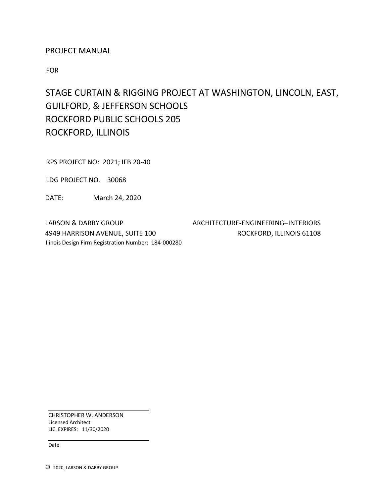# PROJECT MANUAL

FOR

# STAGE CURTAIN & RIGGING PROJECT AT WASHINGTON, LINCOLN, EAST, GUILFORD, & JEFFERSON SCHOOLS ROCKFORD PUBLIC SCHOOLS 205 ROCKFORD, ILLINOIS

RPS PROJECT NO: 2021; IFB 20-40

LDG PROJECT NO. 30068

DATE: March 24, 2020

LARSON & DARBY GROUP **ARCHITECTURE-ENGINEERING–INTERIORS** 4949 HARRISON AVENUE, SUITE 100 ROCKFORD, ILLINOIS 61108 Ilinois Design Firm Registration Number: 184-000280

CHRISTOPHER W. ANDERSON Licensed Architect LIC. EXPIRES: 11/30/2020

Date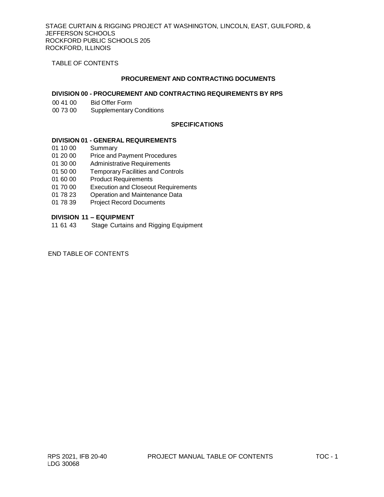TABLE OF CONTENTS

#### **PROCUREMENT AND CONTRACTING DOCUMENTS**

## **DIVISION 00 - PROCUREMENT AND CONTRACTING REQUIREMENTS BY RPS**

- 00 41 00 Bid Offer Form
- 00 73 00 Supplementary Conditions

# **SPECIFICATIONS**

#### **DIVISION 01 - GENERAL REQUIREMENTS**

- 01 10 00 Summary
- 01 20 00 Price and Payment Procedures
- 01 30 00 Administrative Requirements
- 01 50 00 Temporary Facilities and Controls<br>01 60 00 Product Requirements
- **Product Requirements**
- 01 70 00 Execution and Closeout Requirements
- 01 78 23 Operation and Maintenance Data
- 01 78 39 Project Record Documents

## **DIVISION 11 – EQUIPMENT**

11 61 43 Stage Curtains and Rigging Equipment

# END TABLE OF CONTENTS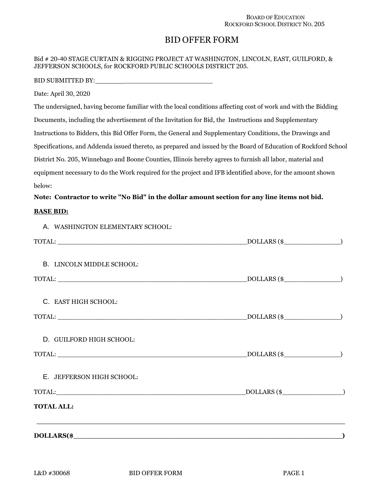# BID OFFER FORM

## Bid # 20-40 STAGE CURTAIN & RIGGING PROJECT AT WASHINGTON, LINCOLN, EAST, GUILFORD, & JEFFERSON SCHOOLS, for ROCKFORD PUBLIC SCHOOLS DISTRICT 205.

BID SUBMITTED BY:

Date: April 30, 2020

The undersigned, having become familiar with the local conditions affecting cost of work and with the Bidding Documents, including the advertisement of the Invitation for Bid, the Instructions and Supplementary Instructions to Bidders, this Bid Offer Form, the General and Supplementary Conditions, the Drawings and Specifications, and Addenda issued thereto, as prepared and issued by the Board of Education of Rockford School District No. 205, Winnebago and Boone Counties, Illinois hereby agrees to furnish all labor, material and equipment necessary to do the Work required for the project and IFB identified above, for the amount shown below:

# **Note: Contractor to write "No Bid" in the dollar amount section for any line items not bid.**

#### **BASE BID:**

A. WASHINGTON ELEMENTARY SCHOOL:

| $\text{TOTAL:}\n \underline{\hspace{2cm}}\n \underline{\hspace{2cm}}\n \underline{\hspace{2cm}}\n \underline{\hspace{2cm}}\n \underline{\hspace{2cm}}\n \underline{\hspace{2cm}}\n \underline{\hspace{2cm}}\n \underline{\hspace{2cm}}\n \underline{\hspace{2cm}}\n \underline{\hspace{2cm}}\n \underline{\hspace{2cm}}\n \underline{\hspace{2cm}}\n \underline{\hspace{2cm}}\n \underline{\hspace{2cm}}\n \underline{\hspace{2cm}}\n \underline{\hspace{2cm}}\n \underline{\hspace{2cm}}\n \underline{\hspace{2cm}}\n \underline{\hspace{2cm}}\n \underline$ |  |
|---------------------------------------------------------------------------------------------------------------------------------------------------------------------------------------------------------------------------------------------------------------------------------------------------------------------------------------------------------------------------------------------------------------------------------------------------------------------------------------------------------------------------------------------------------------|--|
|                                                                                                                                                                                                                                                                                                                                                                                                                                                                                                                                                               |  |
| B. LINCOLN MIDDLE SCHOOL:                                                                                                                                                                                                                                                                                                                                                                                                                                                                                                                                     |  |
|                                                                                                                                                                                                                                                                                                                                                                                                                                                                                                                                                               |  |
| $\text{TOTAL:}\n \underline{\hspace{2cm}}\n \underline{\hspace{2cm}}\n \underline{\hspace{2cm}}\n \underline{\hspace{2cm}}\n \underline{\hspace{2cm}}\n \underline{\hspace{2cm}}\n \underline{\hspace{2cm}}\n \underline{\hspace{2cm}}\n \underline{\hspace{2cm}}\n \underline{\hspace{2cm}}\n \underline{\hspace{2cm}}\n \underline{\hspace{2cm}}\n \underline{\hspace{2cm}}\n \underline{\hspace{2cm}}\n \underline{\hspace{2cm}}\n \underline{\hspace{2cm}}\n \underline{\hspace{2cm}}\n \underline{\hspace{2cm}}\n \underline{\hspace{2cm}}\n \underline$ |  |
| C. EAST HIGH SCHOOL:                                                                                                                                                                                                                                                                                                                                                                                                                                                                                                                                          |  |
| $\text{TOTAL:}\n \underline{\hspace{2cm}}\n \underline{\hspace{2cm}}\n \underline{\hspace{2cm}}\n \underline{\hspace{2cm}}\n \underline{\hspace{2cm}}\n \underline{\hspace{2cm}}\n \underline{\hspace{2cm}}\n \underline{\hspace{2cm}}\n \underline{\hspace{2cm}}\n \underline{\hspace{2cm}}\n \underline{\hspace{2cm}}\n \underline{\hspace{2cm}}\n \underline{\hspace{2cm}}\n \underline{\hspace{2cm}}\n \underline{\hspace{2cm}}\n \underline{\hspace{2cm}}\n \underline{\hspace{2cm}}\n \underline{\hspace{2cm}}\n \underline{\hspace{2cm}}\n \underline$ |  |
|                                                                                                                                                                                                                                                                                                                                                                                                                                                                                                                                                               |  |
| D. GUILFORD HIGH SCHOOL:                                                                                                                                                                                                                                                                                                                                                                                                                                                                                                                                      |  |
| $\text{TOTAL:}\n \underline{\hspace{2cm}}\n \underline{\hspace{2cm}}\n \underline{\hspace{2cm}}\n \underline{\hspace{2cm}}\n \underline{\hspace{2cm}}\n \underline{\hspace{2cm}}\n \underline{\hspace{2cm}}\n \underline{\hspace{2cm}}\n \underline{\hspace{2cm}}\n \underline{\hspace{2cm}}\n \underline{\hspace{2cm}}\n \underline{\hspace{2cm}}\n \underline{\hspace{2cm}}\n \underline{\hspace{2cm}}\n \underline{\hspace{2cm}}\n \underline{\hspace{2cm}}\n \underline{\hspace{2cm}}\n \underline{\hspace{2cm}}\n \underline{\hspace{2cm}}\n \underline$ |  |
|                                                                                                                                                                                                                                                                                                                                                                                                                                                                                                                                                               |  |
| E. JEFFERSON HIGH SCHOOL:                                                                                                                                                                                                                                                                                                                                                                                                                                                                                                                                     |  |
| $\text{TOTAL:}\n \begin{picture}(150,10) \put(0,0){\vector(1,0){100}} \put(150,0){\vector(1,0){100}} \put(150,0){\vector(1,0){100}} \put(150,0){\vector(1,0){100}} \put(150,0){\vector(1,0){100}} \put(150,0){\vector(1,0){100}} \put(150,0){\vector(1,0){100}} \put(150,0){\vector(1,0){100}} \put(150,0){\vector(1,0){100}} \put(150,0){\vector(1,0){100}} \$                                                                                                                                                                                               |  |
| <b>TOTAL ALL:</b>                                                                                                                                                                                                                                                                                                                                                                                                                                                                                                                                             |  |
|                                                                                                                                                                                                                                                                                                                                                                                                                                                                                                                                                               |  |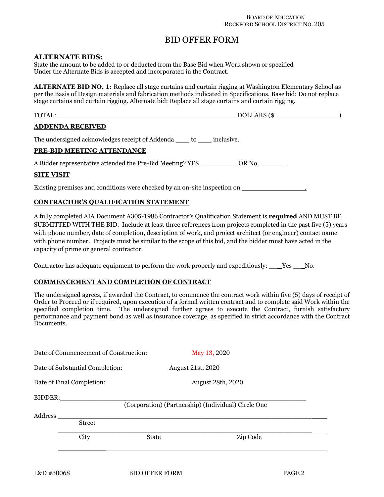# BID OFFER FORM

# **ALTERNATE BIDS:**

State the amount to be added to or deducted from the Base Bid when Work shown or specified Under the Alternate Bids is accepted and incorporated in the Contract.

**ALTERNATE BID NO. 1:** Replace all stage curtains and curtain rigging at Washington Elementary School as per the Basis of Design materials and fabrication methods indicated in Specifications. Base bid: Do not replace stage curtains and curtain rigging. Alternate bid: Replace all stage curtains and curtain rigging.

| TOTAL:                                                                     | DOLLARS (\$ |
|----------------------------------------------------------------------------|-------------|
| <b>ADDENDA RECEIVED</b>                                                    |             |
| The undersigned acknowledges receipt of Addenda _____ to ______ inclusive. |             |
| PRE-BID MEETING ATTENDANCE                                                 |             |
| A Bidder representative attended the Pre-Bid Meeting? YES                  | OR No       |

#### **SITE VISIT**

Existing premises and conditions were checked by an on-site inspection on

# **CONTRACTOR'S QUALIFICATION STATEMENT**

A fully completed AIA Document A305-1986 Contractor's Qualification Statement is **required** AND MUST BE SUBMITTED WITH THE BID. Include at least three references from projects completed in the past five (5) years with phone number, date of completion, description of work, and project architect (or engineer) contact name with phone number. Projects must be similar to the scope of this bid, and the bidder must have acted in the capacity of prime or general contractor.

Contractor has adequate equipment to perform the work properly and expeditiously: \_\_ Yes \_\_ No.

#### **COMMENCEMENT AND COMPLETION OF CONTRACT**

The undersigned agrees, if awarded the Contract, to commence the contract work within five (5) days of receipt of Order to Proceed or if required, upon execution of a formal written contract and to complete said Work within the specified completion time. The undersigned further agrees to execute the Contract, furnish satisfactory performance and payment bond as well as insurance coverage, as specified in strict accordance with the Contract Documents.

|         | Date of Commencement of Construction: |              | May 13, 2020                                        |  |
|---------|---------------------------------------|--------------|-----------------------------------------------------|--|
|         | Date of Substantial Completion:       |              | August 21st, 2020                                   |  |
|         | Date of Final Completion:             |              | <b>August 28th, 2020</b>                            |  |
| BIDDER: |                                       |              | (Corporation) (Partnership) (Individual) Circle One |  |
| Address |                                       |              |                                                     |  |
|         | <b>Street</b>                         |              |                                                     |  |
|         | City                                  | <b>State</b> | Zip Code                                            |  |
|         |                                       |              |                                                     |  |
|         |                                       |              |                                                     |  |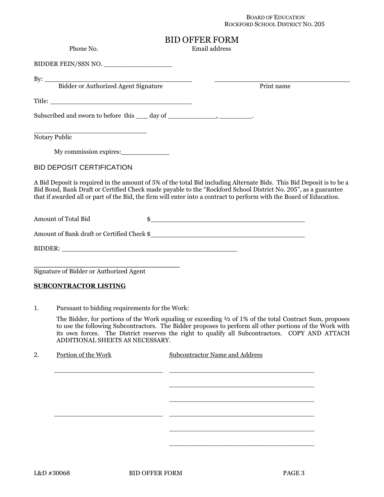#### BOARD OF EDUCATION ROCKFORD SCHOOL DISTRICT NO. 205

# BID OFFER FORM

Phone No. **Email address** 

BIDDER FEIN/SSN NO.

 $By:$ 

Bidder or Authorized Agent Signature Print name

Title:

Subscribed and sworn to before this \_\_\_ day of \_\_\_\_\_\_\_\_\_\_, \_\_\_\_\_\_\_\_\_.

Notary Public

My commission expires:

BID DEPOSIT CERTIFICATION

A Bid Deposit is required in the amount of 5% of the total Bid including Alternate Bids. This Bid Deposit is to be a Bid Bond, Bank Draft or Certified Check made payable to the "Rockford School District No. 205", as a guarantee that if awarded all or part of the Bid, the firm will enter into a contract to perform with the Board of Education.

Amount of Total Bid  $\frac{1}{2}$   $\frac{1}{2}$   $\frac{1}{2}$   $\frac{1}{2}$   $\frac{1}{2}$   $\frac{1}{2}$   $\frac{1}{2}$   $\frac{1}{2}$   $\frac{1}{2}$   $\frac{1}{2}$   $\frac{1}{2}$   $\frac{1}{2}$   $\frac{1}{2}$   $\frac{1}{2}$   $\frac{1}{2}$   $\frac{1}{2}$   $\frac{1}{2}$   $\frac{1}{2}$   $\frac{1}{2}$   $\frac{1}{2}$   $\$ 

Amount of Bank draft or Certified Check \$

BIDDER:

Signature of Bidder or Authorized Agent

#### **SUBCONTRACTOR LISTING**

1. Pursuant to bidding requirements for the Work:

\_\_\_\_\_\_\_\_\_\_\_\_\_\_\_\_\_\_\_\_\_\_\_\_\_\_\_\_\_\_\_\_\_\_\_\_\_\_

The Bidder, for portions of the Work equaling or exceeding ½ of 1% of the total Contract Sum, proposes to use the following Subcontractors. The Bidder proposes to perform all other portions of the Work with its own forces. The District reserves the right to qualify all Subcontractors. COPY AND ATTACH ADDITIONAL SHEETS AS NECESSARY.

| 2. | Portion of the Work | <b>Subcontractor Name and Address</b> |
|----|---------------------|---------------------------------------|
|    |                     |                                       |
|    |                     |                                       |
|    |                     |                                       |
|    |                     |                                       |
|    |                     |                                       |
|    |                     |                                       |
|    |                     |                                       |
|    |                     |                                       |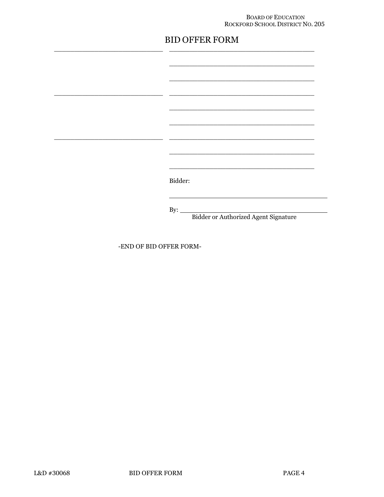#### BOARD OF EDUCATION ROCKFORD SCHOOL DISTRICT NO. 205

# **BID OFFER FORM**

| Bidder:                                     |
|---------------------------------------------|
|                                             |
| By: $\qquad \qquad$                         |
| <b>Bidder or Authorized Agent Signature</b> |

-END OF BID OFFER FORM-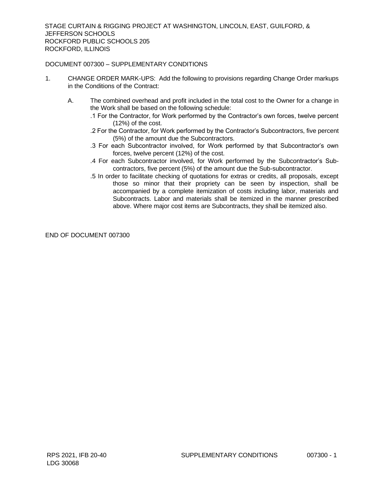# DOCUMENT 007300 – SUPPLEMENTARY CONDITIONS

- 1. CHANGE ORDER MARK-UPS: Add the following to provisions regarding Change Order markups in the Conditions of the Contract:
	- A. The combined overhead and profit included in the total cost to the Owner for a change in the Work shall be based on the following schedule:
		- .1 For the Contractor, for Work performed by the Contractor's own forces, twelve percent (12%) of the cost.
		- .2 For the Contractor, for Work performed by the Contractor's Subcontractors, five percent (5%) of the amount due the Subcontractors.
		- .3 For each Subcontractor involved, for Work performed by that Subcontractor's own forces, twelve percent (12%) of the cost.
		- .4 For each Subcontractor involved, for Work performed by the Subcontractor's Subcontractors, five percent (5%) of the amount due the Sub-subcontractor.
		- .5 In order to facilitate checking of quotations for extras or credits, all proposals, except those so minor that their propriety can be seen by inspection, shall be accompanied by a complete itemization of costs including labor, materials and Subcontracts. Labor and materials shall be itemized in the manner prescribed above. Where major cost items are Subcontracts, they shall be itemized also.

END OF DOCUMENT 007300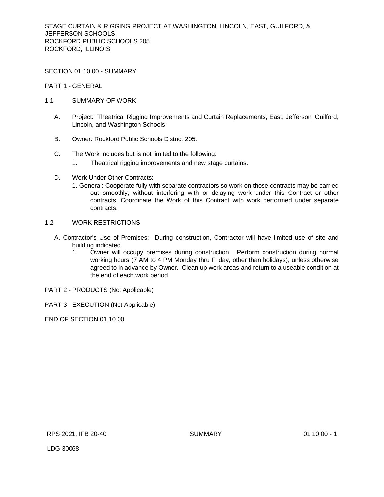SECTION 01 10 00 - SUMMARY

PART 1 - GENERAL

- 1.1 SUMMARY OF WORK
	- A. Project: Theatrical Rigging Improvements and Curtain Replacements, East, Jefferson, Guilford, Lincoln, and Washington Schools.
	- B. Owner: Rockford Public Schools District 205.
	- C. The Work includes but is not limited to the following:
		- 1. Theatrical rigging improvements and new stage curtains.
	- D. Work Under Other Contracts:
		- 1. General: Cooperate fully with separate contractors so work on those contracts may be carried out smoothly, without interfering with or delaying work under this Contract or other contracts. Coordinate the Work of this Contract with work performed under separate contracts.

# 1.2 WORK RESTRICTIONS

- A. Contractor's Use of Premises: During construction, Contractor will have limited use of site and building indicated.
	- 1. Owner will occupy premises during construction. Perform construction during normal working hours (7 AM to 4 PM Monday thru Friday, other than holidays), unless otherwise agreed to in advance by Owner. Clean up work areas and return to a useable condition at the end of each work period.
- PART 2 PRODUCTS (Not Applicable)
- PART 3 EXECUTION (Not Applicable)

END OF SECTION 01 10 00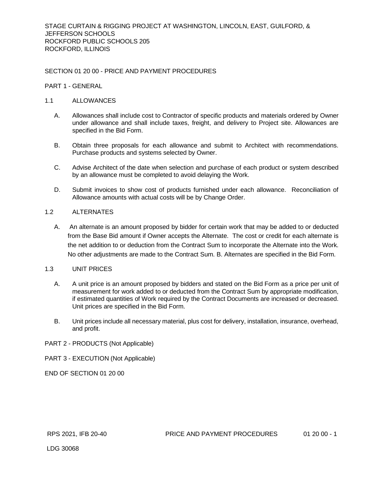## SECTION 01 20 00 - PRICE AND PAYMENT PROCEDURES

#### PART 1 - GENERAL

#### 1.1 ALLOWANCES

- A. Allowances shall include cost to Contractor of specific products and materials ordered by Owner under allowance and shall include taxes, freight, and delivery to Project site. Allowances are specified in the Bid Form.
- B. Obtain three proposals for each allowance and submit to Architect with recommendations. Purchase products and systems selected by Owner.
- C. Advise Architect of the date when selection and purchase of each product or system described by an allowance must be completed to avoid delaying the Work.
- D. Submit invoices to show cost of products furnished under each allowance. Reconciliation of Allowance amounts with actual costs will be by Change Order.

#### 1.2 ALTERNATES

A. An alternate is an amount proposed by bidder for certain work that may be added to or deducted from the Base Bid amount if Owner accepts the Alternate. The cost or credit for each alternate is the net addition to or deduction from the Contract Sum to incorporate the Alternate into the Work. No other adjustments are made to the Contract Sum. B. Alternates are specified in the Bid Form.

# 1.3 UNIT PRICES

- A. A unit price is an amount proposed by bidders and stated on the Bid Form as a price per unit of measurement for work added to or deducted from the Contract Sum by appropriate modification, if estimated quantities of Work required by the Contract Documents are increased or decreased. Unit prices are specified in the Bid Form.
- B. Unit prices include all necessary material, plus cost for delivery, installation, insurance, overhead, and profit.

#### PART 2 - PRODUCTS (Not Applicable)

PART 3 - EXECUTION (Not Applicable)

END OF SECTION 01 20 00

LDG 30068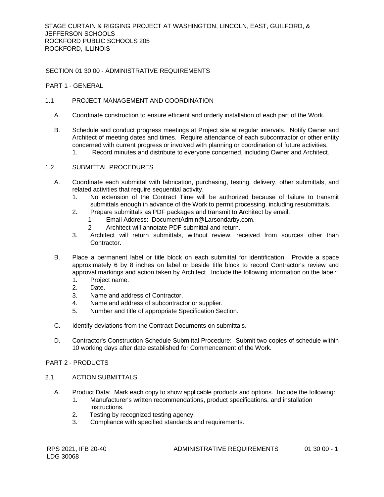# SECTION 01 30 00 - ADMINISTRATIVE REQUIREMENTS

#### PART 1 - GENERAL

# 1.1 PROJECT MANAGEMENT AND COORDINATION

- A. Coordinate construction to ensure efficient and orderly installation of each part of the Work.
- B. Schedule and conduct progress meetings at Project site at regular intervals. Notify Owner and Architect of meeting dates and times. Require attendance of each subcontractor or other entity concerned with current progress or involved with planning or coordination of future activities. 1. Record minutes and distribute to everyone concerned, including Owner and Architect.

#### 1.2 SUBMITTAL PROCEDURES

- A. Coordinate each submittal with fabrication, purchasing, testing, delivery, other submittals, and related activities that require sequential activity.
	- 1. No extension of the Contract Time will be authorized because of failure to transmit submittals enough in advance of the Work to permit processing, including resubmittals.
	- 2. Prepare submittals as PDF packages and transmit to Architect by email.
		- 1 Email Address: DocumentAdmin@Larsondarby.com.
		- 2 Architect will annotate PDF submittal and return.
	- 3. Architect will return submittals, without review, received from sources other than Contractor.
- B. Place a permanent label or title block on each submittal for identification. Provide a space approximately 6 by 8 inches on label or beside title block to record Contractor's review and approval markings and action taken by Architect. Include the following information on the label:
	- 1. Project name.
	- 2. Date.
	- 3. Name and address of Contractor.
	- 4. Name and address of subcontractor or supplier.
	- 5. Number and title of appropriate Specification Section.
- C. Identify deviations from the Contract Documents on submittals.
- D. Contractor's Construction Schedule Submittal Procedure: Submit two copies of schedule within 10 working days after date established for Commencement of the Work.

# PART 2 - PRODUCTS

#### 2.1 ACTION SUBMITTALS

- A. Product Data: Mark each copy to show applicable products and options. Include the following:
	- 1. Manufacturer's written recommendations, product specifications, and installation instructions.
	- 2. Testing by recognized testing agency.
	- 3. Compliance with specified standards and requirements.

RPS 2021, IFB 20-40 ADMINISTRATIVE REQUIREMENTS 01 30 00 - 1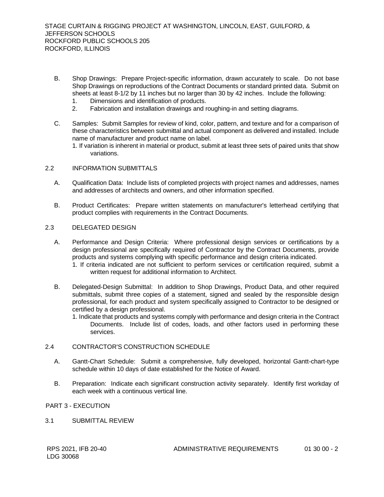- B. Shop Drawings: Prepare Project-specific information, drawn accurately to scale. Do not base Shop Drawings on reproductions of the Contract Documents or standard printed data. Submit on sheets at least 8-1/2 by 11 inches but no larger than 30 by 42 inches. Include the following:
	- 1. Dimensions and identification of products.
	- 2. Fabrication and installation drawings and roughing-in and setting diagrams.
- C. Samples: Submit Samples for review of kind, color, pattern, and texture and for a comparison of these characteristics between submittal and actual component as delivered and installed. Include name of manufacturer and product name on label.

1. If variation is inherent in material or product, submit at least three sets of paired units that show variations.

#### 2.2 INFORMATION SUBMITTALS

- A. Qualification Data: Include lists of completed projects with project names and addresses, names and addresses of architects and owners, and other information specified.
- B. Product Certificates: Prepare written statements on manufacturer's letterhead certifying that product complies with requirements in the Contract Documents.

# 2.3 DELEGATED DESIGN

- A. Performance and Design Criteria: Where professional design services or certifications by a design professional are specifically required of Contractor by the Contract Documents, provide products and systems complying with specific performance and design criteria indicated.
	- 1. If criteria indicated are not sufficient to perform services or certification required, submit a written request for additional information to Architect.
- B. Delegated-Design Submittal: In addition to Shop Drawings, Product Data, and other required submittals, submit three copies of a statement, signed and sealed by the responsible design professional, for each product and system specifically assigned to Contractor to be designed or certified by a design professional.
	- 1. Indicate that products and systems comply with performance and design criteria in the Contract Documents. Include list of codes, loads, and other factors used in performing these services.

#### 2.4 CONTRACTOR'S CONSTRUCTION SCHEDULE

- A. Gantt-Chart Schedule: Submit a comprehensive, fully developed, horizontal Gantt-chart-type schedule within 10 days of date established for the Notice of Award.
- B. Preparation: Indicate each significant construction activity separately. Identify first workday of each week with a continuous vertical line.

PART 3 - EXECUTION

3.1 SUBMITTAL REVIEW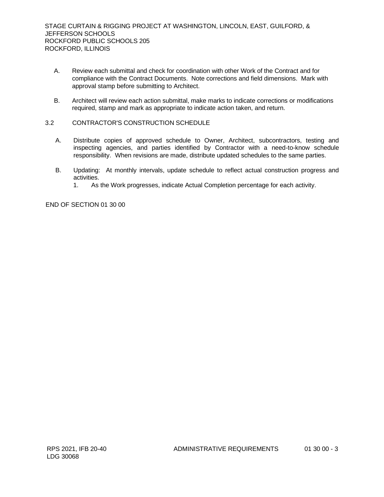- A. Review each submittal and check for coordination with other Work of the Contract and for compliance with the Contract Documents. Note corrections and field dimensions. Mark with approval stamp before submitting to Architect.
- B. Architect will review each action submittal, make marks to indicate corrections or modifications required, stamp and mark as appropriate to indicate action taken, and return.
- 3.2 CONTRACTOR'S CONSTRUCTION SCHEDULE
	- A. Distribute copies of approved schedule to Owner, Architect, subcontractors, testing and inspecting agencies, and parties identified by Contractor with a need-to-know schedule responsibility. When revisions are made, distribute updated schedules to the same parties.
	- B. Updating: At monthly intervals, update schedule to reflect actual construction progress and activities.
		- 1. As the Work progresses, indicate Actual Completion percentage for each activity.

END OF SECTION 01 30 00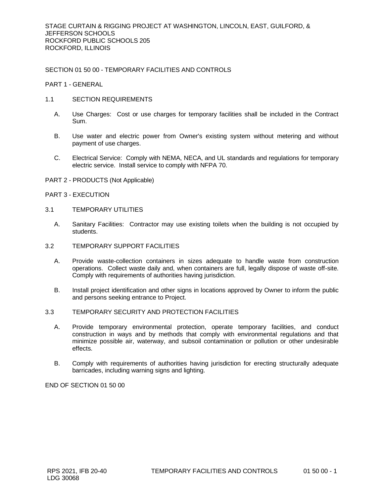# SECTION 01 50 00 - TEMPORARY FACILITIES AND CONTROLS

PART 1 - GENERAL

- 1.1 SECTION REQUIREMENTS
	- A. Use Charges: Cost or use charges for temporary facilities shall be included in the Contract Sum.
	- B. Use water and electric power from Owner's existing system without metering and without payment of use charges.
	- C. Electrical Service: Comply with NEMA, NECA, and UL standards and regulations for temporary electric service. Install service to comply with NFPA 70.
- PART 2 PRODUCTS (Not Applicable)
- PART 3 EXECUTION
- 3.1 TEMPORARY UTILITIES
	- A. Sanitary Facilities: Contractor may use existing toilets when the building is not occupied by students.
- 3.2 TEMPORARY SUPPORT FACILITIES
	- A. Provide waste-collection containers in sizes adequate to handle waste from construction operations. Collect waste daily and, when containers are full, legally dispose of waste off-site. Comply with requirements of authorities having jurisdiction.
	- B. Install project identification and other signs in locations approved by Owner to inform the public and persons seeking entrance to Project.
- 3.3 TEMPORARY SECURITY AND PROTECTION FACILITIES
	- A. Provide temporary environmental protection, operate temporary facilities, and conduct construction in ways and by methods that comply with environmental regulations and that minimize possible air, waterway, and subsoil contamination or pollution or other undesirable effects.
	- B. Comply with requirements of authorities having jurisdiction for erecting structurally adequate barricades, including warning signs and lighting.

END OF SECTION 01 50 00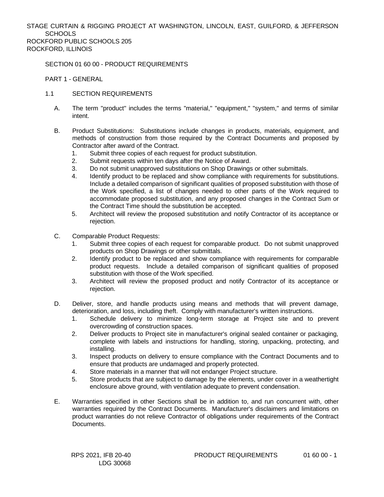# SECTION 01 60 00 - PRODUCT REQUIREMENTS

PART 1 - GENERAL

- 1.1 SECTION REQUIREMENTS
	- A. The term "product" includes the terms "material," "equipment," "system," and terms of similar intent.
	- B. Product Substitutions: Substitutions include changes in products, materials, equipment, and methods of construction from those required by the Contract Documents and proposed by Contractor after award of the Contract.
		- 1. Submit three copies of each request for product substitution.
		- 2. Submit requests within ten days after the Notice of Award.
		- 3. Do not submit unapproved substitutions on Shop Drawings or other submittals.
		- 4. Identify product to be replaced and show compliance with requirements for substitutions. Include a detailed comparison of significant qualities of proposed substitution with those of the Work specified, a list of changes needed to other parts of the Work required to accommodate proposed substitution, and any proposed changes in the Contract Sum or the Contract Time should the substitution be accepted.
		- 5. Architect will review the proposed substitution and notify Contractor of its acceptance or rejection.
	- C. Comparable Product Requests:
		- Submit three copies of each request for comparable product. Do not submit unapproved products on Shop Drawings or other submittals.
		- 2. Identify product to be replaced and show compliance with requirements for comparable product requests. Include a detailed comparison of significant qualities of proposed substitution with those of the Work specified.
		- 3. Architect will review the proposed product and notify Contractor of its acceptance or rejection.
	- D. Deliver, store, and handle products using means and methods that will prevent damage, deterioration, and loss, including theft. Comply with manufacturer's written instructions.
		- 1. Schedule delivery to minimize long-term storage at Project site and to prevent overcrowding of construction spaces.
		- 2. Deliver products to Project site in manufacturer's original sealed container or packaging, complete with labels and instructions for handling, storing, unpacking, protecting, and installing.
		- 3. Inspect products on delivery to ensure compliance with the Contract Documents and to ensure that products are undamaged and properly protected.
		- 4. Store materials in a manner that will not endanger Project structure.
		- 5. Store products that are subject to damage by the elements, under cover in a weathertight enclosure above ground, with ventilation adequate to prevent condensation.
	- E. Warranties specified in other Sections shall be in addition to, and run concurrent with, other warranties required by the Contract Documents. Manufacturer's disclaimers and limitations on product warranties do not relieve Contractor of obligations under requirements of the Contract Documents.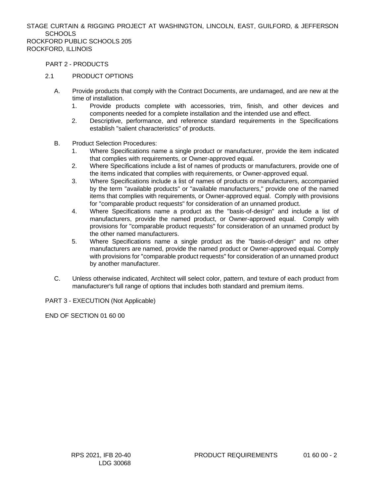PART 2 - PRODUCTS

# 2.1 PRODUCT OPTIONS

- A. Provide products that comply with the Contract Documents, are undamaged, and are new at the time of installation.
	- 1. Provide products complete with accessories, trim, finish, and other devices and components needed for a complete installation and the intended use and effect.
	- 2. Descriptive, performance, and reference standard requirements in the Specifications establish "salient characteristics" of products.
- B. Product Selection Procedures:
	- 1. Where Specifications name a single product or manufacturer, provide the item indicated that complies with requirements, or Owner-approved equal.
	- 2. Where Specifications include a list of names of products or manufacturers, provide one of the items indicated that complies with requirements, or Owner-approved equal.
	- 3. Where Specifications include a list of names of products or manufacturers, accompanied by the term "available products" or "available manufacturers," provide one of the named items that complies with requirements, or Owner-approved equal. Comply with provisions for "comparable product requests" for consideration of an unnamed product.
	- 4. Where Specifications name a product as the "basis-of-design" and include a list of manufacturers, provide the named product, or Owner-approved equal. Comply with provisions for "comparable product requests" for consideration of an unnamed product by the other named manufacturers.
	- 5. Where Specifications name a single product as the "basis-of-design" and no other manufacturers are named, provide the named product or Owner-approved equal. Comply with provisions for "comparable product requests" for consideration of an unnamed product by another manufacturer.
- C. Unless otherwise indicated, Architect will select color, pattern, and texture of each product from manufacturer's full range of options that includes both standard and premium items.

PART 3 - EXECUTION (Not Applicable)

END OF SECTION 01 60 00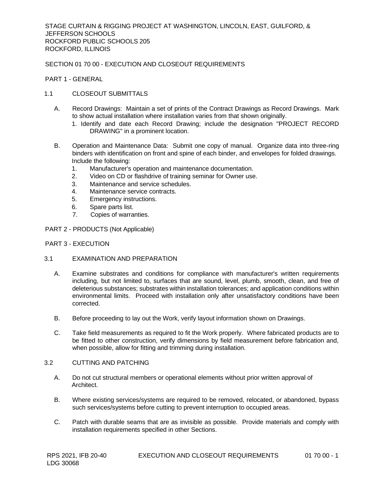# SECTION 01 70 00 - EXECUTION AND CLOSEOUT REQUIREMENTS

PART 1 - GENERAL

# 1.1 CLOSEOUT SUBMITTALS

- A. Record Drawings: Maintain a set of prints of the Contract Drawings as Record Drawings. Mark to show actual installation where installation varies from that shown originally.
	- 1. Identify and date each Record Drawing; include the designation "PROJECT RECORD DRAWING" in a prominent location.
- B. Operation and Maintenance Data: Submit one copy of manual. Organize data into three-ring binders with identification on front and spine of each binder, and envelopes for folded drawings. Include the following:
	- 1. Manufacturer's operation and maintenance documentation.
	- 2. Video on CD or flashdrive of training seminar for Owner use.
	- 3. Maintenance and service schedules.
	- 4. Maintenance service contracts.
	- 5. Emergency instructions.
	- 6. Spare parts list.
	- 7. Copies of warranties.
- PART 2 PRODUCTS (Not Applicable)

#### PART 3 - EXECUTION

#### 3.1 EXAMINATION AND PREPARATION

- A. Examine substrates and conditions for compliance with manufacturer's written requirements including, but not limited to, surfaces that are sound, level, plumb, smooth, clean, and free of deleterious substances; substrates within installation tolerances; and application conditions within environmental limits. Proceed with installation only after unsatisfactory conditions have been corrected.
- B. Before proceeding to lay out the Work, verify layout information shown on Drawings.
- C. Take field measurements as required to fit the Work properly. Where fabricated products are to be fitted to other construction, verify dimensions by field measurement before fabrication and, when possible, allow for fitting and trimming during installation.

# 3.2 CUTTING AND PATCHING

- A. Do not cut structural members or operational elements without prior written approval of Architect.
- B. Where existing services/systems are required to be removed, relocated, or abandoned, bypass such services/systems before cutting to prevent interruption to occupied areas.
- C. Patch with durable seams that are as invisible as possible. Provide materials and comply with installation requirements specified in other Sections.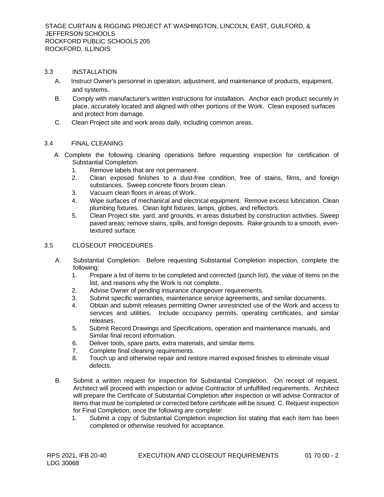## 3.3 INSTALLATION

- A. Instruct Owner's personnel in operation, adjustment, and maintenance of products, equipment, and systems.
- B. Comply with manufacturer's written instructions for installation. Anchor each product securely in place, accurately located and aligned with other portions of the Work. Clean exposed surfaces and protect from damage.
- C. Clean Project site and work areas daily, including common areas.

# 3.4 FINAL CLEANING

- A. Complete the following cleaning operations before requesting inspection for certification of Substantial Completion:
	- 1. Remove labels that are not permanent.
	- 2. Clean exposed finishes to a dust-free condition, free of stains, films, and foreign substances. Sweep concrete floors broom clean.
	- 3. Vacuum clean floors in areas of Work..
	- 4. Wipe surfaces of mechanical and electrical equipment. Remove excess lubrication. Clean plumbing fixtures. Clean light fixtures, lamps, globes, and reflectors.
	- 5. Clean Project site, yard, and grounds, in areas disturbed by construction activities. Sweep paved areas; remove stains, spills, and foreign deposits. Rake grounds to a smooth, eventextured surface.

# 3.5 CLOSEOUT PROCEDURES

- A. Substantial Completion: Before requesting Substantial Completion inspection, complete the following:
	- 1. Prepare a list of items to be completed and corrected (punch list), the value of items on the list, and reasons why the Work is not complete.
	- 2. Advise Owner of pending insurance changeover requirements.
	- 3. Submit specific warranties, maintenance service agreements, and similar documents.
	- 4. Obtain and submit releases permitting Owner unrestricted use of the Work and access to services and utilities. Include occupancy permits, operating certificates, and similar releases.
	- 5. Submit Record Drawings and Specifications, operation and maintenance manuals, and Similar final record information.
	- 6. Deliver tools, spare parts, extra materials, and similar items.
	- 7. Complete final cleaning requirements.
	- 8. Touch up and otherwise repair and restore marred exposed finishes to eliminate visual defects.
- B. Submit a written request for inspection for Substantial Completion. On receipt of request, Architect will proceed with inspection or advise Contractor of unfulfilled requirements. Architect will prepare the Certificate of Substantial Completion after inspection or will advise Contractor of items that must be completed or corrected before certificate will be issued. C. Request inspection for Final Completion, once the following are complete:
	- 1. Submit a copy of Substantial Completion inspection list stating that each item has been completed or otherwise resolved for acceptance.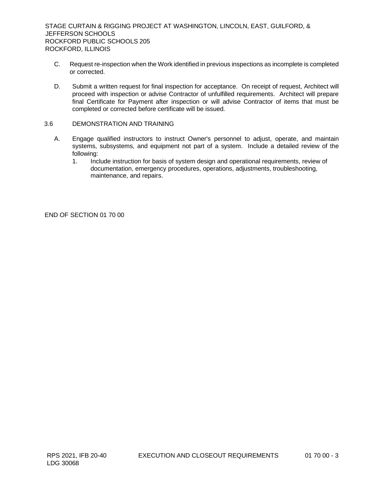- C. Request re-inspection when the Work identified in previous inspections as incomplete is completed or corrected.
- D. Submit a written request for final inspection for acceptance. On receipt of request, Architect will proceed with inspection or advise Contractor of unfulfilled requirements. Architect will prepare final Certificate for Payment after inspection or will advise Contractor of items that must be completed or corrected before certificate will be issued.

## 3.6 DEMONSTRATION AND TRAINING

- A. Engage qualified instructors to instruct Owner's personnel to adjust, operate, and maintain systems, subsystems, and equipment not part of a system. Include a detailed review of the following:
	- 1. Include instruction for basis of system design and operational requirements, review of documentation, emergency procedures, operations, adjustments, troubleshooting, maintenance, and repairs.

END OF SECTION 01 70 00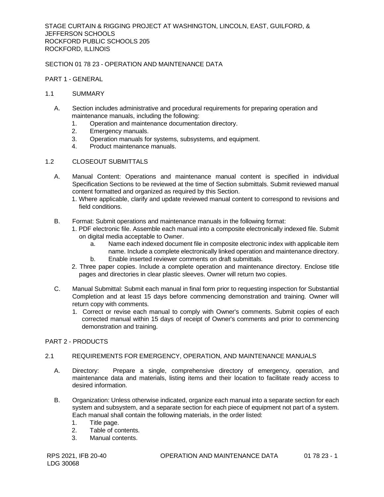# SECTION 01 78 23 - OPERATION AND MAINTENANCE DATA

## PART 1 - GENERAL

#### 1.1 SUMMARY

- A. Section includes administrative and procedural requirements for preparing operation and maintenance manuals, including the following:
	- 1. Operation and maintenance documentation directory.
	- 2. Emergency manuals.
	- 3. Operation manuals for systems, subsystems, and equipment.
	- 4. Product maintenance manuals.
- 1.2 CLOSEOUT SUBMITTALS
	- A. Manual Content: Operations and maintenance manual content is specified in individual Specification Sections to be reviewed at the time of Section submittals. Submit reviewed manual content formatted and organized as required by this Section.
		- 1. Where applicable, clarify and update reviewed manual content to correspond to revisions and field conditions.
	- B. Format: Submit operations and maintenance manuals in the following format:
		- 1. PDF electronic file. Assemble each manual into a composite electronically indexed file. Submit on digital media acceptable to Owner.
			- a. Name each indexed document file in composite electronic index with applicable item name. Include a complete electronically linked operation and maintenance directory. b. Enable inserted reviewer comments on draft submittals.
		- 2. Three paper copies. Include a complete operation and maintenance directory. Enclose title pages and directories in clear plastic sleeves. Owner will return two copies.
	- C. Manual Submittal: Submit each manual in final form prior to requesting inspection for Substantial Completion and at least 15 days before commencing demonstration and training. Owner will return copy with comments.
		- 1. Correct or revise each manual to comply with Owner's comments. Submit copies of each corrected manual within 15 days of receipt of Owner's comments and prior to commencing demonstration and training.

## PART 2 - PRODUCTS

#### 2.1 REQUIREMENTS FOR EMERGENCY, OPERATION, AND MAINTENANCE MANUALS

- A. Directory: Prepare a single, comprehensive directory of emergency, operation, and maintenance data and materials, listing items and their location to facilitate ready access to desired information.
- B. Organization: Unless otherwise indicated, organize each manual into a separate section for each system and subsystem, and a separate section for each piece of equipment not part of a system. Each manual shall contain the following materials, in the order listed:
	- 1. Title page.
	- 2. Table of contents.
	- 3. Manual contents.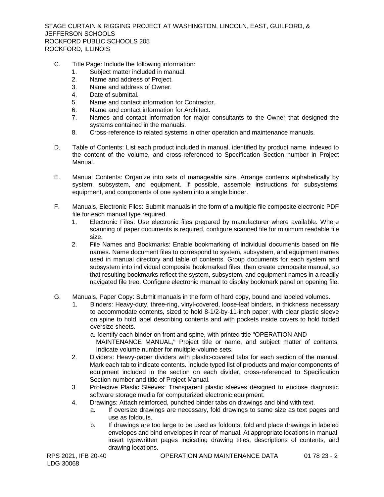- C. Title Page: Include the following information:
	- 1. Subject matter included in manual.
	- 2. Name and address of Project.
	- 3. Name and address of Owner.
	- 4. Date of submittal.
	- 5. Name and contact information for Contractor.
	- 6. Name and contact information for Architect.
	- 7. Names and contact information for major consultants to the Owner that designed the systems contained in the manuals.
	- 8. Cross-reference to related systems in other operation and maintenance manuals.
- D. Table of Contents: List each product included in manual, identified by product name, indexed to the content of the volume, and cross-referenced to Specification Section number in Project Manual.
- E. Manual Contents: Organize into sets of manageable size. Arrange contents alphabetically by system, subsystem, and equipment. If possible, assemble instructions for subsystems, equipment, and components of one system into a single binder.
- F. Manuals, Electronic Files: Submit manuals in the form of a multiple file composite electronic PDF file for each manual type required.
	- 1. Electronic Files: Use electronic files prepared by manufacturer where available. Where scanning of paper documents is required, configure scanned file for minimum readable file size.
	- 2. File Names and Bookmarks: Enable bookmarking of individual documents based on file names. Name document files to correspond to system, subsystem, and equipment names used in manual directory and table of contents. Group documents for each system and subsystem into individual composite bookmarked files, then create composite manual, so that resulting bookmarks reflect the system, subsystem, and equipment names in a readily navigated file tree. Configure electronic manual to display bookmark panel on opening file.
- G. Manuals, Paper Copy: Submit manuals in the form of hard copy, bound and labeled volumes.
	- 1. Binders: Heavy-duty, three-ring, vinyl-covered, loose-leaf binders, in thickness necessary to accommodate contents, sized to hold 8-1/2-by-11-inch paper; with clear plastic sleeve on spine to hold label describing contents and with pockets inside covers to hold folded oversize sheets.
		- a. Identify each binder on front and spine, with printed title "OPERATION AND MAINTENANCE MANUAL," Project title or name, and subject matter of contents. Indicate volume number for multiple-volume sets.
	- 2. Dividers: Heavy-paper dividers with plastic-covered tabs for each section of the manual. Mark each tab to indicate contents. Include typed list of products and major components of equipment included in the section on each divider, cross-referenced to Specification Section number and title of Project Manual.
	- 3. Protective Plastic Sleeves: Transparent plastic sleeves designed to enclose diagnostic software storage media for computerized electronic equipment.
	- 4. Drawings: Attach reinforced, punched binder tabs on drawings and bind with text.
		- a. If oversize drawings are necessary, fold drawings to same size as text pages and use as foldouts.
		- b. If drawings are too large to be used as foldouts, fold and place drawings in labeled envelopes and bind envelopes in rear of manual. At appropriate locations in manual, insert typewritten pages indicating drawing titles, descriptions of contents, and drawing locations.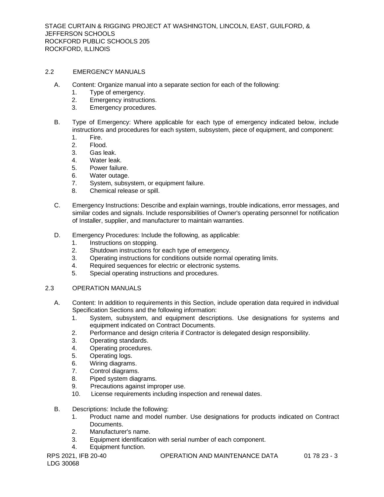# 2.2 EMERGENCY MANUALS

- A. Content: Organize manual into a separate section for each of the following:
	- 1. Type of emergency.
	- 2. Emergency instructions.
	- 3. Emergency procedures.
- B. Type of Emergency: Where applicable for each type of emergency indicated below, include instructions and procedures for each system, subsystem, piece of equipment, and component:
	- 1. Fire.
	- 2. Flood.
	- 3. Gas leak.
	- 4. Water leak.
	- 5. Power failure.
	- 6. Water outage.
	- 7. System, subsystem, or equipment failure.
	- 8. Chemical release or spill.
- C. Emergency Instructions: Describe and explain warnings, trouble indications, error messages, and similar codes and signals. Include responsibilities of Owner's operating personnel for notification of Installer, supplier, and manufacturer to maintain warranties.
- D. Emergency Procedures: Include the following, as applicable:
	- 1. Instructions on stopping.
	- 2. Shutdown instructions for each type of emergency.
	- 3. Operating instructions for conditions outside normal operating limits.
	- 4. Required sequences for electric or electronic systems.
	- 5. Special operating instructions and procedures.

## 2.3 OPERATION MANUALS

- A. Content: In addition to requirements in this Section, include operation data required in individual Specification Sections and the following information:
	- 1. System, subsystem, and equipment descriptions. Use designations for systems and equipment indicated on Contract Documents.
	- 2. Performance and design criteria if Contractor is delegated design responsibility.
	- 3. Operating standards.
	- 4. Operating procedures.
	- 5. Operating logs.
	- 6. Wiring diagrams.
	- 7. Control diagrams.
	- 8. Piped system diagrams.
	- 9. Precautions against improper use.
	- 10. License requirements including inspection and renewal dates.
- B. Descriptions: Include the following:
	- 1. Product name and model number. Use designations for products indicated on Contract Documents.
	- 2. Manufacturer's name.
	- 3. Equipment identification with serial number of each component.
	- 4. Equipment function.

RPS 2021, IFB 20-40 **OPERATION AND MAINTENANCE DATA** 01 78 23 - 3 LDG 30068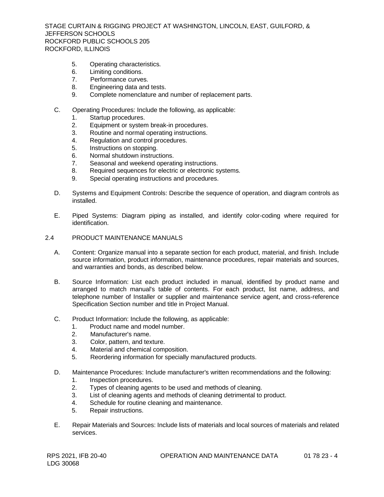- 5. Operating characteristics.
- 6. Limiting conditions.
- 7. Performance curves.
- 8. Engineering data and tests.
- 9. Complete nomenclature and number of replacement parts.
- C. Operating Procedures: Include the following, as applicable:
	- 1. Startup procedures.
	- 2. Equipment or system break-in procedures.
	- 3. Routine and normal operating instructions.
	- 4. Regulation and control procedures.
	- 5. Instructions on stopping.
	- 6. Normal shutdown instructions.
	- 7. Seasonal and weekend operating instructions.
	- 8. Required sequences for electric or electronic systems.
	- 9. Special operating instructions and procedures.
- D. Systems and Equipment Controls: Describe the sequence of operation, and diagram controls as installed.
- E. Piped Systems: Diagram piping as installed, and identify color-coding where required for identification.
- 2.4 PRODUCT MAINTENANCE MANUALS
	- A. Content: Organize manual into a separate section for each product, material, and finish. Include source information, product information, maintenance procedures, repair materials and sources, and warranties and bonds, as described below.
	- B. Source Information: List each product included in manual, identified by product name and arranged to match manual's table of contents. For each product, list name, address, and telephone number of Installer or supplier and maintenance service agent, and cross-reference Specification Section number and title in Project Manual.
	- C. Product Information: Include the following, as applicable:
		- 1. Product name and model number.
		- 2. Manufacturer's name.
		- 3. Color, pattern, and texture.
		- 4. Material and chemical composition.
		- 5. Reordering information for specially manufactured products.
	- D. Maintenance Procedures: Include manufacturer's written recommendations and the following: 1. Inspection procedures.
		- 2. Types of cleaning agents to be used and methods of cleaning.
		- 3. List of cleaning agents and methods of cleaning detrimental to product.
		- 4. Schedule for routine cleaning and maintenance.
		- 5. Repair instructions.
	- E. Repair Materials and Sources: Include lists of materials and local sources of materials and related services.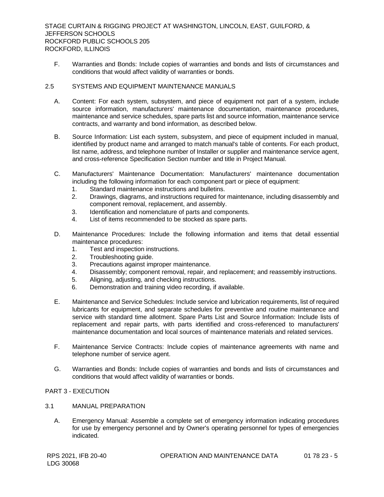F. Warranties and Bonds: Include copies of warranties and bonds and lists of circumstances and conditions that would affect validity of warranties or bonds.

# 2.5 SYSTEMS AND EQUIPMENT MAINTENANCE MANUALS

- A. Content: For each system, subsystem, and piece of equipment not part of a system, include source information, manufacturers' maintenance documentation, maintenance procedures, maintenance and service schedules, spare parts list and source information, maintenance service contracts, and warranty and bond information, as described below.
- B. Source Information: List each system, subsystem, and piece of equipment included in manual, identified by product name and arranged to match manual's table of contents. For each product, list name, address, and telephone number of Installer or supplier and maintenance service agent, and cross-reference Specification Section number and title in Project Manual.
- C. Manufacturers' Maintenance Documentation: Manufacturers' maintenance documentation including the following information for each component part or piece of equipment:
	- 1. Standard maintenance instructions and bulletins.
	- 2. Drawings, diagrams, and instructions required for maintenance, including disassembly and component removal, replacement, and assembly.
	- 3. Identification and nomenclature of parts and components.
	- 4. List of items recommended to be stocked as spare parts.
- D. Maintenance Procedures: Include the following information and items that detail essential maintenance procedures:
	- 1. Test and inspection instructions.
	- 2. Troubleshooting guide.
	- 3. Precautions against improper maintenance.
	- 4. Disassembly; component removal, repair, and replacement; and reassembly instructions.
	- 5. Aligning, adjusting, and checking instructions.
	- 6. Demonstration and training video recording, if available.
- E. Maintenance and Service Schedules: Include service and lubrication requirements, list of required lubricants for equipment, and separate schedules for preventive and routine maintenance and service with standard time allotment. Spare Parts List and Source Information: Include lists of replacement and repair parts, with parts identified and cross-referenced to manufacturers' maintenance documentation and local sources of maintenance materials and related services.
- F. Maintenance Service Contracts: Include copies of maintenance agreements with name and telephone number of service agent.
- G. Warranties and Bonds: Include copies of warranties and bonds and lists of circumstances and conditions that would affect validity of warranties or bonds.

# PART 3 - EXECUTION

- 3.1 MANUAL PREPARATION
	- A. Emergency Manual: Assemble a complete set of emergency information indicating procedures for use by emergency personnel and by Owner's operating personnel for types of emergencies indicated.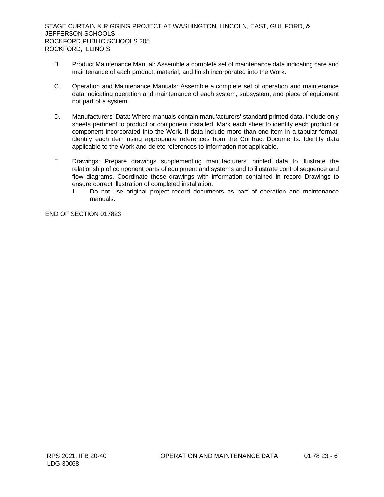- B. Product Maintenance Manual: Assemble a complete set of maintenance data indicating care and maintenance of each product, material, and finish incorporated into the Work.
- C. Operation and Maintenance Manuals: Assemble a complete set of operation and maintenance data indicating operation and maintenance of each system, subsystem, and piece of equipment not part of a system.
- D. Manufacturers' Data: Where manuals contain manufacturers' standard printed data, include only sheets pertinent to product or component installed. Mark each sheet to identify each product or component incorporated into the Work. If data include more than one item in a tabular format, identify each item using appropriate references from the Contract Documents. Identify data applicable to the Work and delete references to information not applicable.
- E. Drawings: Prepare drawings supplementing manufacturers' printed data to illustrate the relationship of component parts of equipment and systems and to illustrate control sequence and flow diagrams. Coordinate these drawings with information contained in record Drawings to ensure correct illustration of completed installation.
	- 1. Do not use original project record documents as part of operation and maintenance manuals.

END OF SECTION 017823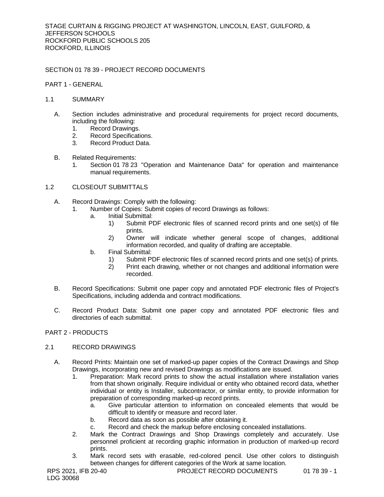# SECTION 01 78 39 - PROJECT RECORD DOCUMENTS

# PART 1 - GENERAL

## 1.1 SUMMARY

- A. Section includes administrative and procedural requirements for project record documents, including the following:
	- 1. Record Drawings.
	- 2. Record Specifications.
	- 3. Record Product Data.
- B. Related Requirements:
	- 1. Section 01 78 23 "Operation and Maintenance Data" for operation and maintenance manual requirements.

# 1.2 CLOSEOUT SUBMITTALS

- A. Record Drawings: Comply with the following:
	- 1. Number of Copies: Submit copies of record Drawings as follows:
		- a. Initial Submittal:
			- 1) Submit PDF electronic files of scanned record prints and one set(s) of file prints.
			- 2) Owner will indicate whether general scope of changes, additional information recorded, and quality of drafting are acceptable.
		- b. Final Submittal:
			- 1) Submit PDF electronic files of scanned record prints and one set(s) of prints.
			- 2) Print each drawing, whether or not changes and additional information were recorded.
- B. Record Specifications: Submit one paper copy and annotated PDF electronic files of Project's Specifications, including addenda and contract modifications.
- C. Record Product Data: Submit one paper copy and annotated PDF electronic files and directories of each submittal.

## PART 2 - PRODUCTS

# 2.1 RECORD DRAWINGS

- A. Record Prints: Maintain one set of marked-up paper copies of the Contract Drawings and Shop Drawings, incorporating new and revised Drawings as modifications are issued.
	- 1. Preparation: Mark record prints to show the actual installation where installation varies from that shown originally. Require individual or entity who obtained record data, whether individual or entity is Installer, subcontractor, or similar entity, to provide information for preparation of corresponding marked-up record prints.
		- a. Give particular attention to information on concealed elements that would be difficult to identify or measure and record later.
		- b. Record data as soon as possible after obtaining it.
		- c. Record and check the markup before enclosing concealed installations.
	- 2. Mark the Contract Drawings and Shop Drawings completely and accurately. Use personnel proficient at recording graphic information in production of marked-up record prints.
	- 3. Mark record sets with erasable, red-colored pencil. Use other colors to distinguish between changes for different categories of the Work at same location.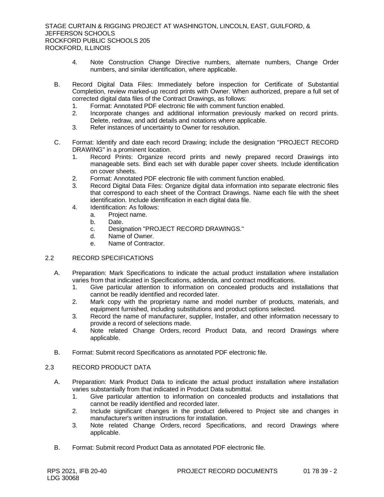- 4. Note Construction Change Directive numbers, alternate numbers, Change Order numbers, and similar identification, where applicable.
- B. Record Digital Data Files: Immediately before inspection for Certificate of Substantial Completion, review marked-up record prints with Owner. When authorized, prepare a full set of corrected digital data files of the Contract Drawings, as follows:
	- 1. Format: Annotated PDF electronic file with comment function enabled.
	- 2. Incorporate changes and additional information previously marked on record prints. Delete, redraw, and add details and notations where applicable.
	- 3. Refer instances of uncertainty to Owner for resolution.
- C. Format: Identify and date each record Drawing; include the designation "PROJECT RECORD DRAWING" in a prominent location.
	- 1. Record Prints: Organize record prints and newly prepared record Drawings into manageable sets. Bind each set with durable paper cover sheets. Include identification on cover sheets.
	- 2. Format: Annotated PDF electronic file with comment function enabled.
	- 3. Record Digital Data Files: Organize digital data information into separate electronic files that correspond to each sheet of the Contract Drawings. Name each file with the sheet identification. Include identification in each digital data file.
	- 4. Identification: As follows:
		- a. Project name.
			- b. Date.
			- c. Designation "PROJECT RECORD DRAWINGS."
			- d. Name of Owner.
			- e. Name of Contractor.

#### 2.2 RECORD SPECIFICATIONS

- A. Preparation: Mark Specifications to indicate the actual product installation where installation varies from that indicated in Specifications, addenda, and contract modifications.
	- 1. Give particular attention to information on concealed products and installations that cannot be readily identified and recorded later.
	- 2. Mark copy with the proprietary name and model number of products, materials, and equipment furnished, including substitutions and product options selected.
	- 3. Record the name of manufacturer, supplier, Installer, and other information necessary to provide a record of selections made.
	- 4. Note related Change Orders, record Product Data, and record Drawings where applicable.
- B. Format: Submit record Specifications as annotated PDF electronic file.

# 2.3 RECORD PRODUCT DATA

- A. Preparation: Mark Product Data to indicate the actual product installation where installation varies substantially from that indicated in Product Data submittal.
	- 1. Give particular attention to information on concealed products and installations that cannot be readily identified and recorded later.
	- 2. Include significant changes in the product delivered to Project site and changes in manufacturer's written instructions for installation.
	- 3. Note related Change Orders, record Specifications, and record Drawings where applicable.
- B. Format: Submit record Product Data as annotated PDF electronic file.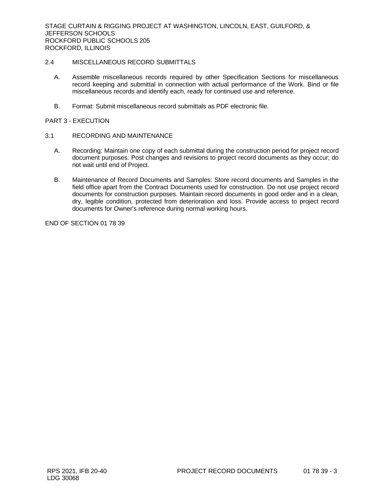# 2.4 MISCELLANEOUS RECORD SUBMITTALS

- A. Assemble miscellaneous records required by other Specification Sections for miscellaneous record keeping and submittal in connection with actual performance of the Work. Bind or file miscellaneous records and identify each, ready for continued use and reference.
- B. Format: Submit miscellaneous record submittals as PDF electronic file.

## PART 3 - EXECUTION

- 3.1 RECORDING AND MAINTENANCE
	- A. Recording: Maintain one copy of each submittal during the construction period for project record document purposes. Post changes and revisions to project record documents as they occur; do not wait until end of Project.
	- B. Maintenance of Record Documents and Samples: Store record documents and Samples in the field office apart from the Contract Documents used for construction. Do not use project record documents for construction purposes. Maintain record documents in good order and in a clean, dry, legible condition, protected from deterioration and loss. Provide access to project record documents for Owner's reference during normal working hours.

END OF SECTION 01 78 39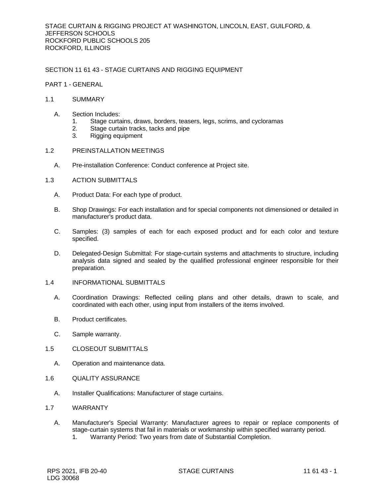SECTION 11 61 43 - STAGE CURTAINS AND RIGGING EQUIPMENT

- PART 1 GENERAL
- 1.1 SUMMARY
	- A. Section Includes:
		- 1. Stage curtains, draws, borders, teasers, legs, scrims, and cycloramas
		- 2. Stage curtain tracks, tacks and pipe<br>3. Rigging equipment
		- 3. Rigging equipment
- 1.2 PREINSTALLATION MEETINGS
	- A. Pre-installation Conference: Conduct conference at Project site.
- 1.3 ACTION SUBMITTALS
	- A. Product Data: For each type of product.
	- B. Shop Drawings: For each installation and for special components not dimensioned or detailed in manufacturer's product data.
	- C. Samples: (3) samples of each for each exposed product and for each color and texture specified.
	- D. Delegated-Design Submittal: For stage-curtain systems and attachments to structure, including analysis data signed and sealed by the qualified professional engineer responsible for their preparation.
- 1.4 INFORMATIONAL SUBMITTALS
	- A. Coordination Drawings: Reflected ceiling plans and other details, drawn to scale, and coordinated with each other, using input from installers of the items involved.
	- B. Product certificates.
	- C. Sample warranty.
- 1.5 CLOSEOUT SUBMITTALS
	- A. Operation and maintenance data.
- 1.6 QUALITY ASSURANCE
	- A. Installer Qualifications: Manufacturer of stage curtains.
- 1.7 WARRANTY
	- A. Manufacturer's Special Warranty: Manufacturer agrees to repair or replace components of stage-curtain systems that fail in materials or workmanship within specified warranty period.
		- 1. Warranty Period: Two years from date of Substantial Completion.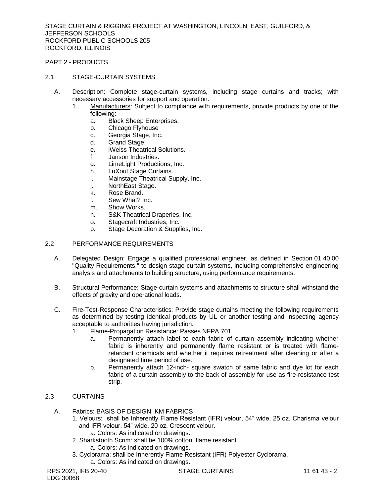PART 2 - PRODUCTS

# 2.1 STAGE-CURTAIN SYSTEMS

- A. Description: Complete stage-curtain systems, including stage curtains and tracks; with necessary accessories for support and operation.
	- 1. [Manufacturers:](http://www.specagent.com/LookUp/?ulid=9458&mf=04&mf=95&src=wd&mf=&src=wd) Subject to compliance with requirements, provide products by one of the following:
		- a. [Black Sheep Enterprises.](http://www.specagent.com/LookUp/?uid=123456934571&mf=&src=wd)
		- b. Chicago Flyhouse
		- c. [Georgia Stage, Inc.](http://www.specagent.com/LookUp/?uid=123456934572&mf=&src=wd)
		- d. Grand Stage
		- e. [iWeiss Theatrical](http://www.specagent.com/LookUp/?uid=12345693934573&mf=&src=wd) Solutions.
		- f. [Janson Industries.](http://www.specagent.com/LookUp/?uid=123456934574&mf=&src=wd)
		- g. [LimeLight Productions, Inc.](http://www.specagent.com/LookUp/?uid=123456934575&mf=&src=wd)
		- h. [LuXout Stage Curtains.](http://www.specagent.com/LookUp/?uid=123456934576&mf=&src=wd)
		- i. [Mainstage Theatrical Supply, Inc.](http://www.specagent.com/LookUp/?uid=123456934577&mf=&src=wd)
		- j. [NorthEast Stage.](http://www.specagent.com/LookUp/?uid=123456934578&mf=&src=wd)
		- k. [Rose Brand.](http://www.specagent.com/LookUp/?uid=123456934569&mf=&src=wd)
		- l. [Sew What? Inc.](http://www.specagent.com/LookUp/?uid=123456934579&mf=&src=wd)
		- m. [Show Works.](http://www.specagent.com/LookUp/?uid=123456934580&mf=&src=wd)
		- n. [S&K Theatrical Draperies, Inc.](http://www.specagent.com/LookUp/?uid=123456934581&mf=&src=wd)
		- o. [Stagecraft Industries, Inc.](http://www.specagent.com/LookUp/?uid=123456934582&mf=&src=wd)
		- p. [Stage Decoration & Supplies, Inc.](http://www.specagent.com/LookUp/?uid=123456934583&mf=&src=wd)

# 2.2 PERFORMANCE REQUIREMENTS

- A. Delegated Design: Engage a qualified professional engineer, as defined in Section 01 40 00 "Quality Requirements," to design stage-curtain systems, including comprehensive engineering analysis and attachments to building structure, using performance requirements.
- B. Structural Performance: Stage-curtain systems and attachments to structure shall withstand the effects of gravity and operational loads.
- C. Fire-Test-Response Characteristics: Provide stage curtains meeting the following requirements as determined by testing identical products by UL or another testing and inspecting agency acceptable to authorities having jurisdiction.
	- 1. Flame-Propagation Resistance: Passes NFPA 701.
		- a. Permanently attach label to each fabric of curtain assembly indicating whether fabric is inherently and permanently flame resistant or is treated with flameretardant chemicals and whether it requires retreatment after cleaning or after a designated time period of use.
		- b. Permanently attach 12-inch- square swatch of same fabric and dye lot for each fabric of a curtain assembly to the back of assembly for use as fire-resistance test strip.

#### 2.3 CURTAINS

- A. Fabrics: BASIS OF DESIGN: KM FABRICS
	- 1. Velours: shall be Inherently Flame Resistant (IFR) velour, 54" wide, 25 oz. Charisma velour and IFR velour, 54" wide, 20 oz. Crescent velour.
		- a. Colors: As indicated on drawings.
	- 2. Sharkstooth Scrim: shall be 100% cotton, flame resistant a. Colors: As indicated on drawings.
	- 3. Cyclorama: shall be Inherently Flame Resistant (IFR) Polyester Cyclorama.
		- a. Colors: As indicated on drawings.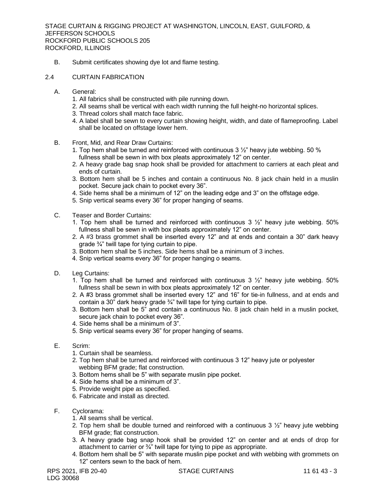- B. Submit certificates showing dye lot and flame testing.
- 2.4 CURTAIN FABRICATION
	- A. General:
		- 1. All fabrics shall be constructed with pile running down.
		- 2. All seams shall be vertical with each width running the full height-no horizontal splices.
		- 3. Thread colors shall match face fabric.
		- 4. A label shall be sewn to every curtain showing height, width, and date of flameproofing. Label shall be located on offstage lower hem.
	- B. Front, Mid, and Rear Draw Curtains:
		- 1. Top hem shall be turned and reinforced with continuous  $3\frac{1}{2}$ " heavy jute webbing. 50 % fullness shall be sewn in with box pleats approximately 12" on center.
		- 2. A heavy grade bag snap hook shall be provided for attachment to carriers at each pleat and ends of curtain.
		- 3. Bottom hem shall be 5 inches and contain a continuous No. 8 jack chain held in a muslin pocket. Secure jack chain to pocket every 36".
		- 4. Side hems shall be a minimum of 12" on the leading edge and 3" on the offstage edge.
		- 5. Snip vertical seams every 36" for proper hanging of seams.
	- C. Teaser and Border Curtains:
		- 1. Top hem shall be turned and reinforced with continuous  $3\frac{1}{2}$ " heavy jute webbing. 50% fullness shall be sewn in with box pleats approximately 12" on center.
		- 2. A #3 brass grommet shall be inserted every 12" and at ends and contain a 30" dark heavy grade ¾" twill tape for tying curtain to pipe.
		- 3. Bottom hem shall be 5 inches. Side hems shall be a minimum of 3 inches.
		- 4. Snip vertical seams every 36" for proper hanging o seams.
	- D. Leg Curtains:
		- 1. Top hem shall be turned and reinforced with continuous  $3\frac{1}{2}$ " heavy jute webbing. 50% fullness shall be sewn in with box pleats approximately 12" on center.
		- 2. A #3 brass grommet shall be inserted every 12" and 16" for tie-in fullness, and at ends and contain a 30" dark heavy grade  $\frac{3}{4}$ " twill tape for tying curtain to pipe.
		- 3. Bottom hem shall be 5" and contain a continuous No. 8 jack chain held in a muslin pocket, secure jack chain to pocket every 36".
		- 4. Side hems shall be a minimum of 3".
		- 5. Snip vertical seams every 36" for proper hanging of seams.
	- E. Scrim:
		- 1. Curtain shall be seamless.
		- 2. Top hem shall be turned and reinforced with continuous 3 12" heavy jute or polyester webbing BFM grade; flat construction.
		- 3. Bottom hems shall be 5" with separate muslin pipe pocket.
		- 4. Side hems shall be a minimum of 3".
		- 5. Provide weight pipe as specified.
		- 6. Fabricate and install as directed.
	- F. Cyclorama:
		- 1. All seams shall be vertical.
		- 2. Top hem shall be double turned and reinforced with a continuous  $3 \frac{1}{2}$ " heavy jute webbing BFM grade: flat construction.
		- 3. A heavy grade bag snap hook shall be provided 12" on center and at ends of drop for attachment to carrier or ¾" twill tape for tying to pipe as appropriate.
		- 4. Bottom hem shall be 5" with separate muslin pipe pocket and with webbing with grommets on 12" centers sewn to the back of hem.